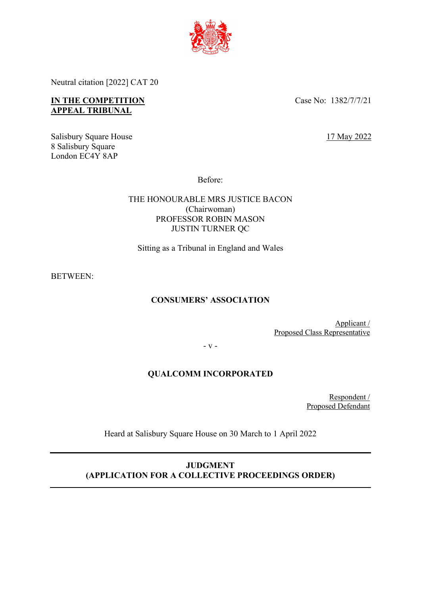

Neutral citation [2022] CAT 20

## **IN THE COMPETITION APPEAL TRIBUNAL**

Case No: 1382/7/7/21

Salisbury Square House 8 Salisbury Square London EC4Y 8AP

17 May 2022

Before:

THE HONOURABLE MRS JUSTICE BACON (Chairwoman) PROFESSOR ROBIN MASON JUSTIN TURNER QC

Sitting as a Tribunal in England and Wales

BETWEEN:

# **CONSUMERS' ASSOCIATION**

Applicant / Proposed Class Representative

- v -

## **QUALCOMM INCORPORATED**

Respondent / Proposed Defendant

Heard at Salisbury Square House on 30 March to 1 April 2022

**JUDGMENT (APPLICATION FOR A COLLECTIVE PROCEEDINGS ORDER)**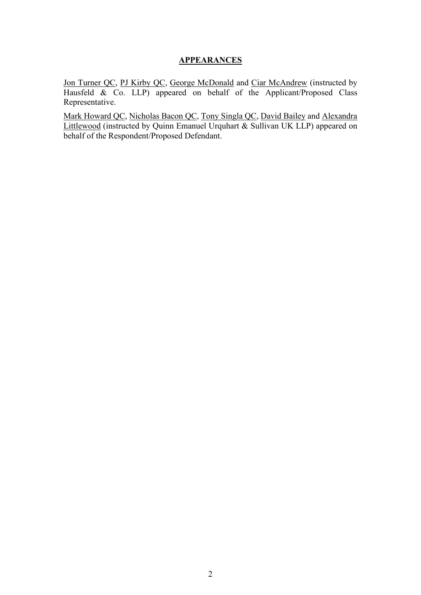### **APPEARANCES**

Jon Turner QC, PJ Kirby QC, George McDonald and Ciar McAndrew (instructed by Hausfeld & Co. LLP) appeared on behalf of the Applicant/Proposed Class Representative.

Mark Howard QC, Nicholas Bacon QC, Tony Singla QC, David Bailey and Alexandra Littlewood (instructed by Quinn Emanuel Urquhart & Sullivan UK LLP) appeared on behalf of the Respondent/Proposed Defendant.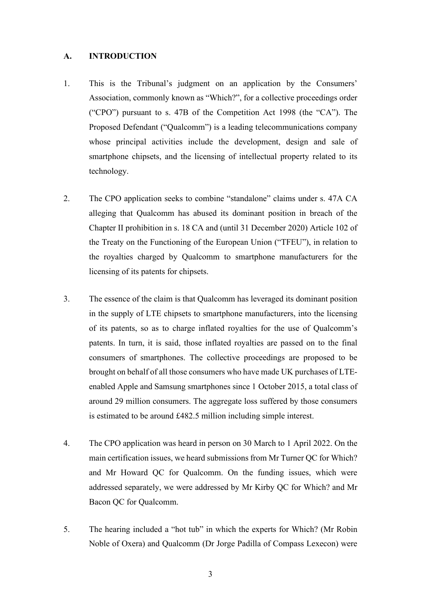#### **A. INTRODUCTION**

- 1. This is the Tribunal's judgment on an application by the Consumers' Association, commonly known as "Which?", for a collective proceedings order ("CPO") pursuant to s. 47B of the Competition Act 1998 (the "CA"). The Proposed Defendant ("Qualcomm") is a leading telecommunications company whose principal activities include the development, design and sale of smartphone chipsets, and the licensing of intellectual property related to its technology.
- 2. The CPO application seeks to combine "standalone" claims under s. 47A CA alleging that Qualcomm has abused its dominant position in breach of the Chapter II prohibition in s. 18 CA and (until 31 December 2020) Article 102 of the Treaty on the Functioning of the European Union ("TFEU"), in relation to the royalties charged by Qualcomm to smartphone manufacturers for the licensing of its patents for chipsets.
- 3. The essence of the claim is that Qualcomm has leveraged its dominant position in the supply of LTE chipsets to smartphone manufacturers, into the licensing of its patents, so as to charge inflated royalties for the use of Qualcomm's patents. In turn, it is said, those inflated royalties are passed on to the final consumers of smartphones. The collective proceedings are proposed to be brought on behalf of all those consumers who have made UK purchases of LTEenabled Apple and Samsung smartphones since 1 October 2015, a total class of around 29 million consumers. The aggregate loss suffered by those consumers is estimated to be around £482.5 million including simple interest.
- 4. The CPO application was heard in person on 30 March to 1 April 2022. On the main certification issues, we heard submissions from Mr Turner QC for Which? and Mr Howard QC for Qualcomm. On the funding issues, which were addressed separately, we were addressed by Mr Kirby QC for Which? and Mr Bacon QC for Qualcomm.
- 5. The hearing included a "hot tub" in which the experts for Which? (Mr Robin Noble of Oxera) and Qualcomm (Dr Jorge Padilla of Compass Lexecon) were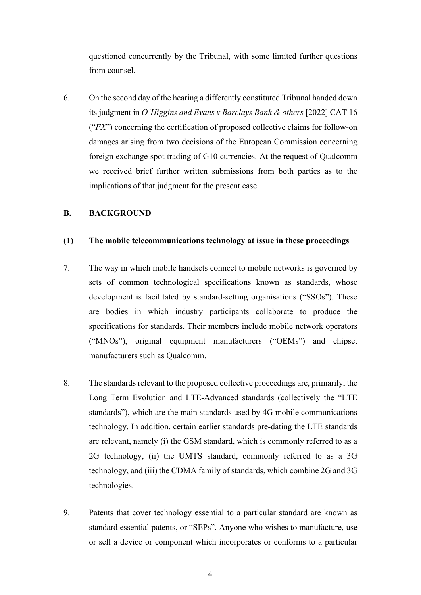questioned concurrently by the Tribunal, with some limited further questions from counsel.

6. On the second day of the hearing a differently constituted Tribunal handed down its judgment in *O'Higgins and Evans v Barclays Bank & others* [2022] CAT 16 ("*FX*") concerning the certification of proposed collective claims for follow-on damages arising from two decisions of the European Commission concerning foreign exchange spot trading of G10 currencies. At the request of Qualcomm we received brief further written submissions from both parties as to the implications of that judgment for the present case.

### **B. BACKGROUND**

#### **(1) The mobile telecommunications technology at issue in these proceedings**

- 7. The way in which mobile handsets connect to mobile networks is governed by sets of common technological specifications known as standards, whose development is facilitated by standard-setting organisations ("SSOs"). These are bodies in which industry participants collaborate to produce the specifications for standards. Their members include mobile network operators ("MNOs"), original equipment manufacturers ("OEMs") and chipset manufacturers such as Qualcomm.
- 8. The standards relevant to the proposed collective proceedings are, primarily, the Long Term Evolution and LTE-Advanced standards (collectively the "LTE standards"), which are the main standards used by 4G mobile communications technology. In addition, certain earlier standards pre-dating the LTE standards are relevant, namely (i) the GSM standard, which is commonly referred to as a 2G technology, (ii) the UMTS standard, commonly referred to as a 3G technology, and (iii) the CDMA family of standards, which combine 2G and 3G technologies.
- 9. Patents that cover technology essential to a particular standard are known as standard essential patents, or "SEPs". Anyone who wishes to manufacture, use or sell a device or component which incorporates or conforms to a particular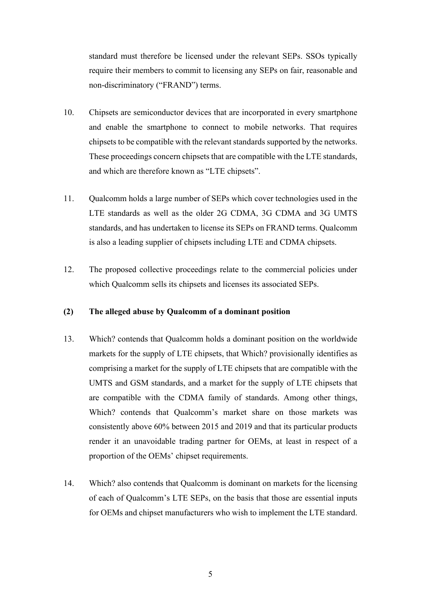standard must therefore be licensed under the relevant SEPs. SSOs typically require their members to commit to licensing any SEPs on fair, reasonable and non-discriminatory ("FRAND") terms.

- 10. Chipsets are semiconductor devices that are incorporated in every smartphone and enable the smartphone to connect to mobile networks. That requires chipsets to be compatible with the relevant standards supported by the networks. These proceedings concern chipsets that are compatible with the LTE standards, and which are therefore known as "LTE chipsets".
- 11. Qualcomm holds a large number of SEPs which cover technologies used in the LTE standards as well as the older 2G CDMA, 3G CDMA and 3G UMTS standards, and has undertaken to license its SEPs on FRAND terms. Qualcomm is also a leading supplier of chipsets including LTE and CDMA chipsets.
- 12. The proposed collective proceedings relate to the commercial policies under which Qualcomm sells its chipsets and licenses its associated SEPs.

#### **(2) The alleged abuse by Qualcomm of a dominant position**

- 13. Which? contends that Qualcomm holds a dominant position on the worldwide markets for the supply of LTE chipsets, that Which? provisionally identifies as comprising a market for the supply of LTE chipsets that are compatible with the UMTS and GSM standards, and a market for the supply of LTE chipsets that are compatible with the CDMA family of standards. Among other things, Which? contends that Qualcomm's market share on those markets was consistently above 60% between 2015 and 2019 and that its particular products render it an unavoidable trading partner for OEMs, at least in respect of a proportion of the OEMs' chipset requirements.
- 14. Which? also contends that Qualcomm is dominant on markets for the licensing of each of Qualcomm's LTE SEPs, on the basis that those are essential inputs for OEMs and chipset manufacturers who wish to implement the LTE standard.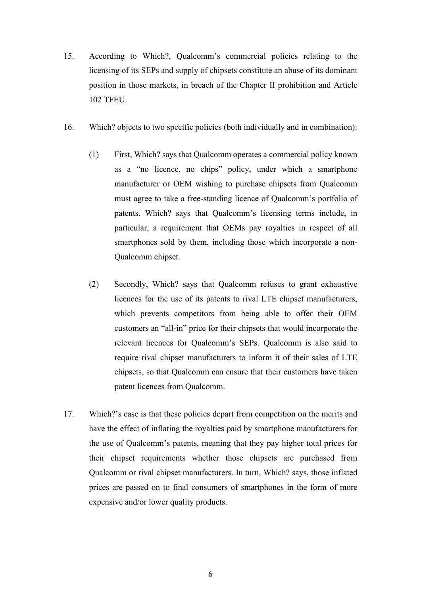- 15. According to Which?, Qualcomm's commercial policies relating to the licensing of its SEPs and supply of chipsets constitute an abuse of its dominant position in those markets, in breach of the Chapter II prohibition and Article 102 TFEU.
- 16. Which? objects to two specific policies (both individually and in combination):
	- (1) First, Which? says that Qualcomm operates a commercial policy known as a "no licence, no chips" policy, under which a smartphone manufacturer or OEM wishing to purchase chipsets from Qualcomm must agree to take a free-standing licence of Qualcomm's portfolio of patents. Which? says that Qualcomm's licensing terms include, in particular, a requirement that OEMs pay royalties in respect of all smartphones sold by them, including those which incorporate a non-Qualcomm chipset.
	- (2) Secondly, Which? says that Qualcomm refuses to grant exhaustive licences for the use of its patents to rival LTE chipset manufacturers, which prevents competitors from being able to offer their OEM customers an "all-in" price for their chipsets that would incorporate the relevant licences for Qualcomm's SEPs. Qualcomm is also said to require rival chipset manufacturers to inform it of their sales of LTE chipsets, so that Qualcomm can ensure that their customers have taken patent licences from Qualcomm.
- 17. Which?'s case is that these policies depart from competition on the merits and have the effect of inflating the royalties paid by smartphone manufacturers for the use of Qualcomm's patents, meaning that they pay higher total prices for their chipset requirements whether those chipsets are purchased from Qualcomm or rival chipset manufacturers. In turn, Which? says, those inflated prices are passed on to final consumers of smartphones in the form of more expensive and/or lower quality products.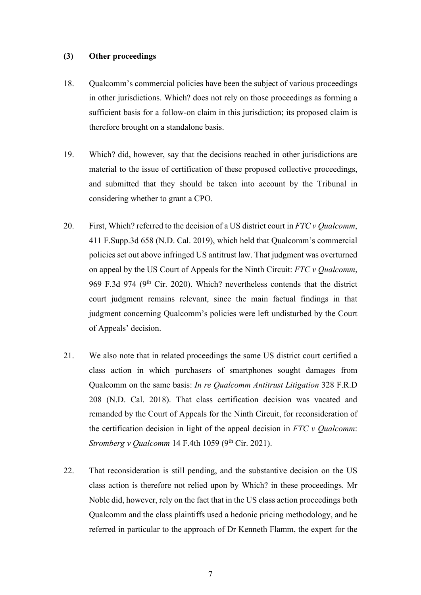### **(3) Other proceedings**

- 18. Qualcomm's commercial policies have been the subject of various proceedings in other jurisdictions. Which? does not rely on those proceedings as forming a sufficient basis for a follow-on claim in this jurisdiction; its proposed claim is therefore brought on a standalone basis.
- 19. Which? did, however, say that the decisions reached in other jurisdictions are material to the issue of certification of these proposed collective proceedings, and submitted that they should be taken into account by the Tribunal in considering whether to grant a CPO.
- 20. First, Which? referred to the decision of a US district court in *FTC v Qualcomm*, 411 F.Supp.3d 658 (N.D. Cal. 2019), which held that Qualcomm's commercial policies set out above infringed US antitrust law. That judgment was overturned on appeal by the US Court of Appeals for the Ninth Circuit: *FTC v Qualcomm*, 969 F.3d 974 (9<sup>th</sup> Cir. 2020). Which? nevertheless contends that the district court judgment remains relevant, since the main factual findings in that judgment concerning Qualcomm's policies were left undisturbed by the Court of Appeals' decision.
- 21. We also note that in related proceedings the same US district court certified a class action in which purchasers of smartphones sought damages from Qualcomm on the same basis: *In re Qualcomm Antitrust Litigation* 328 F.R.D 208 (N.D. Cal. 2018). That class certification decision was vacated and remanded by the Court of Appeals for the Ninth Circuit, for reconsideration of the certification decision in light of the appeal decision in *FTC v Qualcomm*: *Stromberg v Qualcomm* 14 F.4th 1059 (9<sup>th</sup> Cir. 2021).
- 22. That reconsideration is still pending, and the substantive decision on the US class action is therefore not relied upon by Which? in these proceedings. Mr Noble did, however, rely on the fact that in the US class action proceedings both Qualcomm and the class plaintiffs used a hedonic pricing methodology, and he referred in particular to the approach of Dr Kenneth Flamm, the expert for the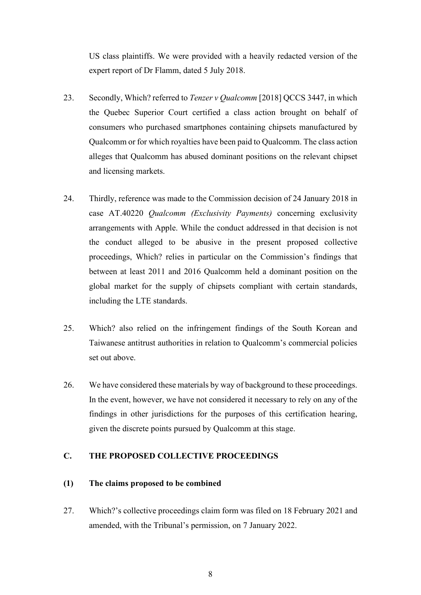US class plaintiffs. We were provided with a heavily redacted version of the expert report of Dr Flamm, dated 5 July 2018.

- 23. Secondly, Which? referred to *Tenzer v Qualcomm* [2018] QCCS 3447, in which the Quebec Superior Court certified a class action brought on behalf of consumers who purchased smartphones containing chipsets manufactured by Qualcomm or for which royalties have been paid to Qualcomm. The class action alleges that Qualcomm has abused dominant positions on the relevant chipset and licensing markets.
- 24. Thirdly, reference was made to the Commission decision of 24 January 2018 in case AT.40220 *Qualcomm (Exclusivity Payments)* concerning exclusivity arrangements with Apple. While the conduct addressed in that decision is not the conduct alleged to be abusive in the present proposed collective proceedings, Which? relies in particular on the Commission's findings that between at least 2011 and 2016 Qualcomm held a dominant position on the global market for the supply of chipsets compliant with certain standards, including the LTE standards.
- 25. Which? also relied on the infringement findings of the South Korean and Taiwanese antitrust authorities in relation to Qualcomm's commercial policies set out above.
- 26. We have considered these materials by way of background to these proceedings. In the event, however, we have not considered it necessary to rely on any of the findings in other jurisdictions for the purposes of this certification hearing, given the discrete points pursued by Qualcomm at this stage.

## **C. THE PROPOSED COLLECTIVE PROCEEDINGS**

### **(1) The claims proposed to be combined**

27. Which?'s collective proceedings claim form was filed on 18 February 2021 and amended, with the Tribunal's permission, on 7 January 2022.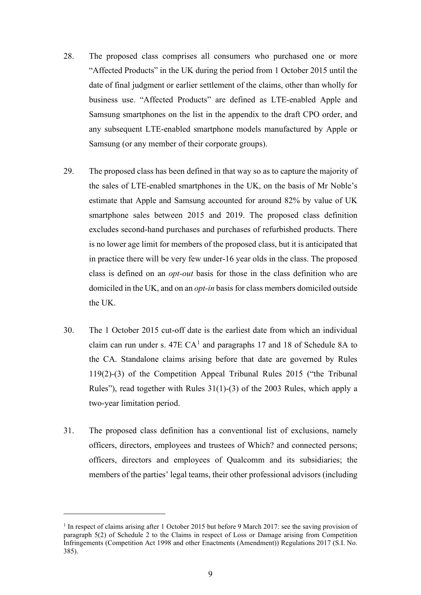- 28. The proposed class comprises all consumers who purchased one or more "Affected Products" in the UK during the period from 1 October 2015 until the date of final judgment or earlier settlement of the claims, other than wholly for business use. "Affected Products" are defined as LTE-enabled Apple and Samsung smartphones on the list in the appendix to the draft CPO order, and any subsequent LTE-enabled smartphone models manufactured by Apple or Samsung (or any member of their corporate groups).
- 29. The proposed class has been defined in that way so as to capture the majority of the sales of LTE-enabled smartphones in the UK, on the basis of Mr Noble's estimate that Apple and Samsung accounted for around 82% by value of UK smartphone sales between 2015 and 2019. The proposed class definition excludes second-hand purchases and purchases of refurbished products. There is no lower age limit for members of the proposed class, but it is anticipated that in practice there will be very few under-16 year olds in the class. The proposed class is defined on an *opt-out* basis for those in the class definition who are domiciled in the UK, and on an *opt-in* basis for class members domiciled outside the UK.
- 30. The 1 October 2015 cut-off date is the earliest date from which an individual claim can run under s.  $47E CA<sup>1</sup>$  and paragraphs 17 and 18 of Schedule 8A to the CA. Standalone claims arising before that date are governed by Rules 119(2)-(3) of the Competition Appeal Tribunal Rules 2015 ("the Tribunal Rules"), read together with Rules 31(1)-(3) of the 2003 Rules, which apply a two-year limitation period.
- 31. The proposed class definition has a conventional list of exclusions, namely officers, directors, employees and trustees of Which? and connected persons; officers, directors and employees of Qualcomm and its subsidiaries; the members of the parties' legal teams, their other professional advisors (including

<sup>&</sup>lt;sup>1</sup> In respect of claims arising after 1 October 2015 but before 9 March 2017: see the saving provision of paragraph 5(2) of Schedule 2 to the Claims in respect of Loss or Damage arising from Competition Infringements (Competition Act 1998 and other Enactments (Amendment)) Regulations 2017 (S.I. No. 385).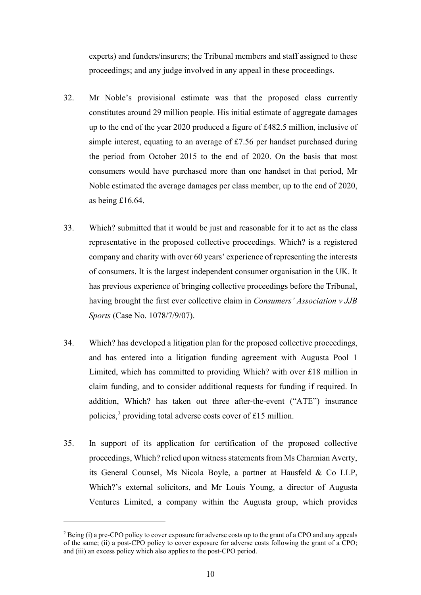experts) and funders/insurers; the Tribunal members and staff assigned to these proceedings; and any judge involved in any appeal in these proceedings.

- 32. Mr Noble's provisional estimate was that the proposed class currently constitutes around 29 million people. His initial estimate of aggregate damages up to the end of the year 2020 produced a figure of £482.5 million, inclusive of simple interest, equating to an average of £7.56 per handset purchased during the period from October 2015 to the end of 2020. On the basis that most consumers would have purchased more than one handset in that period, Mr Noble estimated the average damages per class member, up to the end of 2020, as being £16.64.
- 33. Which? submitted that it would be just and reasonable for it to act as the class representative in the proposed collective proceedings. Which? is a registered company and charity with over 60 years' experience of representing the interests of consumers. It is the largest independent consumer organisation in the UK. It has previous experience of bringing collective proceedings before the Tribunal, having brought the first ever collective claim in *Consumers' Association v JJB Sports* (Case No. 1078/7/9/07).
- 34. Which? has developed a litigation plan for the proposed collective proceedings, and has entered into a litigation funding agreement with Augusta Pool 1 Limited, which has committed to providing Which? with over £18 million in claim funding, and to consider additional requests for funding if required. In addition, Which? has taken out three after-the-event ("ATE") insurance policies, 2 providing total adverse costs cover of £15 million.
- 35. In support of its application for certification of the proposed collective proceedings, Which? relied upon witness statements from Ms Charmian Averty, its General Counsel, Ms Nicola Boyle, a partner at Hausfeld & Co LLP, Which?'s external solicitors, and Mr Louis Young, a director of Augusta Ventures Limited, a company within the Augusta group, which provides

 $2$  Being (i) a pre-CPO policy to cover exposure for adverse costs up to the grant of a CPO and any appeals of the same; (ii) a post-CPO policy to cover exposure for adverse costs following the grant of a CPO; and (iii) an excess policy which also applies to the post-CPO period.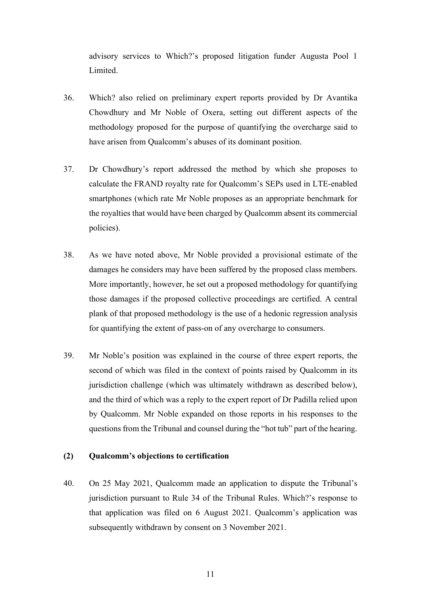advisory services to Which?'s proposed litigation funder Augusta Pool 1 Limited.

- 36. Which? also relied on preliminary expert reports provided by Dr Avantika Chowdhury and Mr Noble of Oxera, setting out different aspects of the methodology proposed for the purpose of quantifying the overcharge said to have arisen from Qualcomm's abuses of its dominant position.
- 37. Dr Chowdhury's report addressed the method by which she proposes to calculate the FRAND royalty rate for Qualcomm's SEPs used in LTE-enabled smartphones (which rate Mr Noble proposes as an appropriate benchmark for the royalties that would have been charged by Qualcomm absent its commercial policies).
- 38. As we have noted above, Mr Noble provided a provisional estimate of the damages he considers may have been suffered by the proposed class members. More importantly, however, he set out a proposed methodology for quantifying those damages if the proposed collective proceedings are certified. A central plank of that proposed methodology is the use of a hedonic regression analysis for quantifying the extent of pass-on of any overcharge to consumers.
- 39. Mr Noble's position was explained in the course of three expert reports, the second of which was filed in the context of points raised by Qualcomm in its jurisdiction challenge (which was ultimately withdrawn as described below), and the third of which was a reply to the expert report of Dr Padilla relied upon by Qualcomm. Mr Noble expanded on those reports in his responses to the questions from the Tribunal and counsel during the "hot tub" part of the hearing.

### **(2) Qualcomm's objections to certification**

40. On 25 May 2021, Qualcomm made an application to dispute the Tribunal's jurisdiction pursuant to Rule 34 of the Tribunal Rules. Which?'s response to that application was filed on 6 August 2021. Qualcomm's application was subsequently withdrawn by consent on 3 November 2021.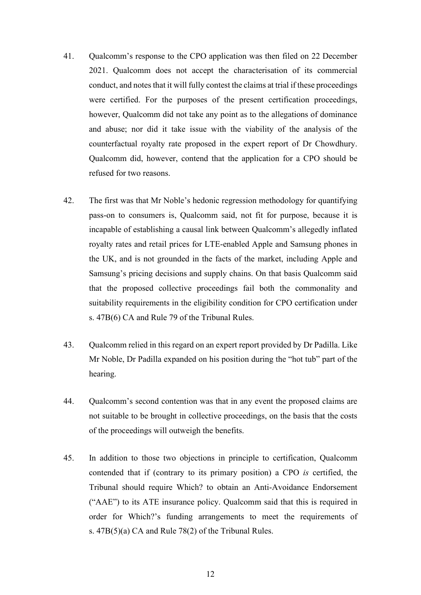- 41. Qualcomm's response to the CPO application was then filed on 22 December 2021. Qualcomm does not accept the characterisation of its commercial conduct, and notes that it will fully contest the claims at trial if these proceedings were certified. For the purposes of the present certification proceedings, however, Qualcomm did not take any point as to the allegations of dominance and abuse; nor did it take issue with the viability of the analysis of the counterfactual royalty rate proposed in the expert report of Dr Chowdhury. Qualcomm did, however, contend that the application for a CPO should be refused for two reasons.
- 42. The first was that Mr Noble's hedonic regression methodology for quantifying pass-on to consumers is, Qualcomm said, not fit for purpose, because it is incapable of establishing a causal link between Qualcomm's allegedly inflated royalty rates and retail prices for LTE-enabled Apple and Samsung phones in the UK, and is not grounded in the facts of the market, including Apple and Samsung's pricing decisions and supply chains. On that basis Qualcomm said that the proposed collective proceedings fail both the commonality and suitability requirements in the eligibility condition for CPO certification under s. 47B(6) CA and Rule 79 of the Tribunal Rules.
- 43. Qualcomm relied in this regard on an expert report provided by Dr Padilla. Like Mr Noble, Dr Padilla expanded on his position during the "hot tub" part of the hearing.
- 44. Qualcomm's second contention was that in any event the proposed claims are not suitable to be brought in collective proceedings, on the basis that the costs of the proceedings will outweigh the benefits.
- 45. In addition to those two objections in principle to certification, Qualcomm contended that if (contrary to its primary position) a CPO *is* certified, the Tribunal should require Which? to obtain an Anti-Avoidance Endorsement ("AAE") to its ATE insurance policy. Qualcomm said that this is required in order for Which?'s funding arrangements to meet the requirements of s. 47B(5)(a) CA and Rule 78(2) of the Tribunal Rules.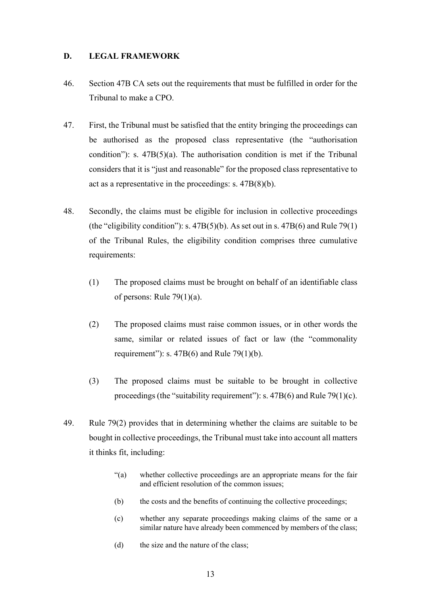### **D. LEGAL FRAMEWORK**

- 46. Section 47B CA sets out the requirements that must be fulfilled in order for the Tribunal to make a CPO.
- 47. First, the Tribunal must be satisfied that the entity bringing the proceedings can be authorised as the proposed class representative (the "authorisation condition"): s.  $47B(5)(a)$ . The authorisation condition is met if the Tribunal considers that it is "just and reasonable" for the proposed class representative to act as a representative in the proceedings: s. 47B(8)(b).
- 48. Secondly, the claims must be eligible for inclusion in collective proceedings (the "eligibility condition"): s.  $47B(5)(b)$ . As set out in s.  $47B(6)$  and Rule 79(1) of the Tribunal Rules, the eligibility condition comprises three cumulative requirements:
	- (1) The proposed claims must be brought on behalf of an identifiable class of persons: Rule 79(1)(a).
	- (2) The proposed claims must raise common issues, or in other words the same, similar or related issues of fact or law (the "commonality requirement"): s.  $47B(6)$  and Rule 79(1)(b).
	- (3) The proposed claims must be suitable to be brought in collective proceedings (the "suitability requirement"): s.  $47B(6)$  and Rule 79(1)(c).
- 49. Rule 79(2) provides that in determining whether the claims are suitable to be bought in collective proceedings, the Tribunal must take into account all matters it thinks fit, including:
	- "(a) whether collective proceedings are an appropriate means for the fair and efficient resolution of the common issues;
	- (b) the costs and the benefits of continuing the collective proceedings;
	- (c) whether any separate proceedings making claims of the same or a similar nature have already been commenced by members of the class;
	- (d) the size and the nature of the class;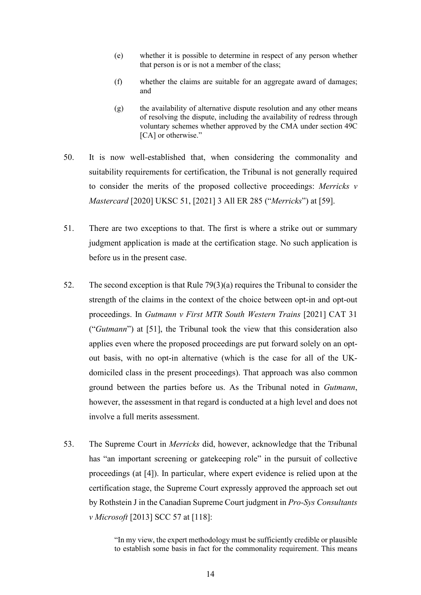- (e) whether it is possible to determine in respect of any person whether that person is or is not a member of the class;
- (f) whether the claims are suitable for an aggregate award of damages; and
- $(g)$  the availability of alternative dispute resolution and any other means of resolving the dispute, including the availability of redress through voluntary schemes whether approved by the CMA under section 49C [CA] or otherwise."
- 50. It is now well-established that, when considering the commonality and suitability requirements for certification, the Tribunal is not generally required to consider the merits of the proposed collective proceedings: *Merricks v Mastercard* [2020] UKSC 51, [2021] 3 All ER 285 ("*Merricks*") at [59].
- 51. There are two exceptions to that. The first is where a strike out or summary judgment application is made at the certification stage. No such application is before us in the present case.
- 52. The second exception is that Rule 79(3)(a) requires the Tribunal to consider the strength of the claims in the context of the choice between opt-in and opt-out proceedings. In *Gutmann v First MTR South Western Trains* [2021] CAT 31 ("*Gutmann*") at [51], the Tribunal took the view that this consideration also applies even where the proposed proceedings are put forward solely on an optout basis, with no opt-in alternative (which is the case for all of the UKdomiciled class in the present proceedings). That approach was also common ground between the parties before us. As the Tribunal noted in *Gutmann*, however, the assessment in that regard is conducted at a high level and does not involve a full merits assessment.
- 53. The Supreme Court in *Merricks* did, however, acknowledge that the Tribunal has "an important screening or gatekeeping role" in the pursuit of collective proceedings (at [4]). In particular, where expert evidence is relied upon at the certification stage, the Supreme Court expressly approved the approach set out by Rothstein J in the Canadian Supreme Court judgment in *Pro-Sys Consultants v Microsoft* [2013] SCC 57 at [118]:

"In my view, the expert methodology must be sufficiently credible or plausible to establish some basis in fact for the commonality requirement. This means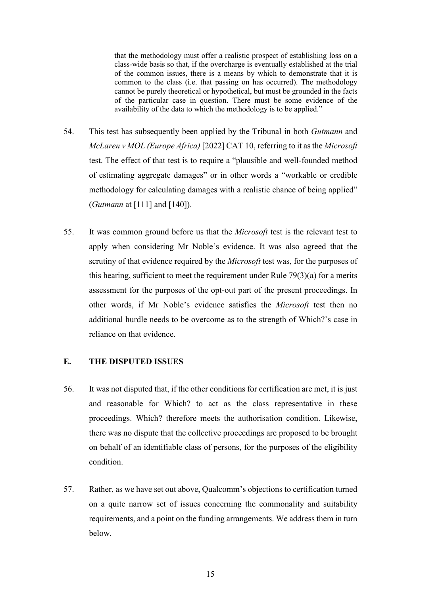that the methodology must offer a realistic prospect of establishing loss on a class-wide basis so that, if the overcharge is eventually established at the trial of the common issues, there is a means by which to demonstrate that it is common to the class (i.e. that passing on has occurred). The methodology cannot be purely theoretical or hypothetical, but must be grounded in the facts of the particular case in question. There must be some evidence of the availability of the data to which the methodology is to be applied."

- 54. This test has subsequently been applied by the Tribunal in both *Gutmann* and *McLaren v MOL (Europe Africa)* [2022] CAT 10, referring to it as the *Microsoft*  test. The effect of that test is to require a "plausible and well-founded method of estimating aggregate damages" or in other words a "workable or credible methodology for calculating damages with a realistic chance of being applied" (*Gutmann* at [111] and [140]).
- 55. It was common ground before us that the *Microsoft* test is the relevant test to apply when considering Mr Noble's evidence. It was also agreed that the scrutiny of that evidence required by the *Microsoft* test was, for the purposes of this hearing, sufficient to meet the requirement under Rule 79(3)(a) for a merits assessment for the purposes of the opt-out part of the present proceedings. In other words, if Mr Noble's evidence satisfies the *Microsoft* test then no additional hurdle needs to be overcome as to the strength of Which?'s case in reliance on that evidence.

### **E. THE DISPUTED ISSUES**

- 56. It was not disputed that, if the other conditions for certification are met, it is just and reasonable for Which? to act as the class representative in these proceedings. Which? therefore meets the authorisation condition. Likewise, there was no dispute that the collective proceedings are proposed to be brought on behalf of an identifiable class of persons, for the purposes of the eligibility condition.
- 57. Rather, as we have set out above, Qualcomm's objections to certification turned on a quite narrow set of issues concerning the commonality and suitability requirements, and a point on the funding arrangements. We address them in turn below.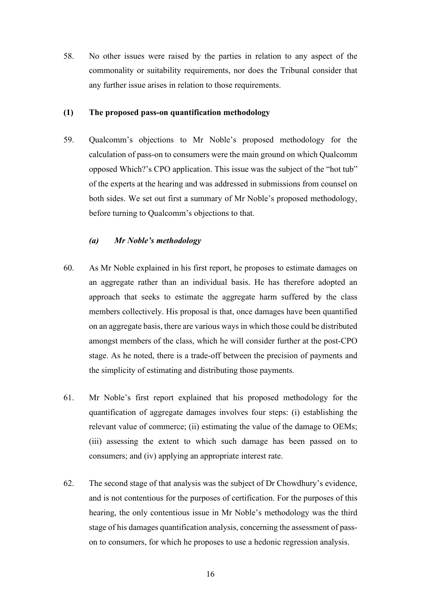58. No other issues were raised by the parties in relation to any aspect of the commonality or suitability requirements, nor does the Tribunal consider that any further issue arises in relation to those requirements.

#### **(1) The proposed pass-on quantification methodology**

59. Qualcomm's objections to Mr Noble's proposed methodology for the calculation of pass-on to consumers were the main ground on which Qualcomm opposed Which?'s CPO application. This issue was the subject of the "hot tub" of the experts at the hearing and was addressed in submissions from counsel on both sides. We set out first a summary of Mr Noble's proposed methodology, before turning to Qualcomm's objections to that.

### *(a) Mr Noble's methodology*

- 60. As Mr Noble explained in his first report, he proposes to estimate damages on an aggregate rather than an individual basis. He has therefore adopted an approach that seeks to estimate the aggregate harm suffered by the class members collectively. His proposal is that, once damages have been quantified on an aggregate basis, there are various ways in which those could be distributed amongst members of the class, which he will consider further at the post-CPO stage. As he noted, there is a trade-off between the precision of payments and the simplicity of estimating and distributing those payments.
- 61. Mr Noble's first report explained that his proposed methodology for the quantification of aggregate damages involves four steps: (i) establishing the relevant value of commerce; (ii) estimating the value of the damage to OEMs; (iii) assessing the extent to which such damage has been passed on to consumers; and (iv) applying an appropriate interest rate.
- 62. The second stage of that analysis was the subject of Dr Chowdhury's evidence, and is not contentious for the purposes of certification. For the purposes of this hearing, the only contentious issue in Mr Noble's methodology was the third stage of his damages quantification analysis, concerning the assessment of passon to consumers, for which he proposes to use a hedonic regression analysis.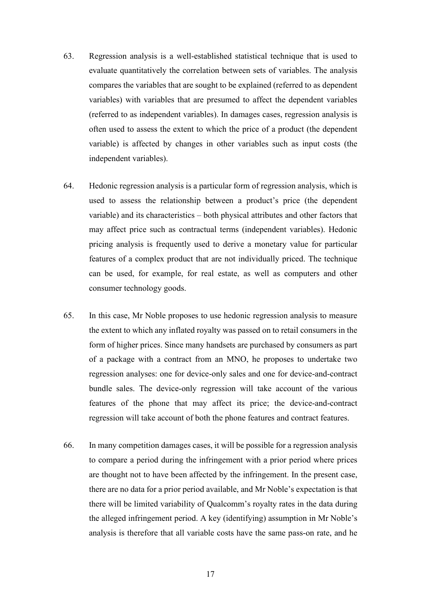- 63. Regression analysis is a well-established statistical technique that is used to evaluate quantitatively the correlation between sets of variables. The analysis compares the variables that are sought to be explained (referred to as dependent variables) with variables that are presumed to affect the dependent variables (referred to as independent variables). In damages cases, regression analysis is often used to assess the extent to which the price of a product (the dependent variable) is affected by changes in other variables such as input costs (the independent variables).
- 64. Hedonic regression analysis is a particular form of regression analysis, which is used to assess the relationship between a product's price (the dependent variable) and its characteristics – both physical attributes and other factors that may affect price such as contractual terms (independent variables). Hedonic pricing analysis is frequently used to derive a monetary value for particular features of a complex product that are not individually priced. The technique can be used, for example, for real estate, as well as computers and other consumer technology goods.
- 65. In this case, Mr Noble proposes to use hedonic regression analysis to measure the extent to which any inflated royalty was passed on to retail consumers in the form of higher prices. Since many handsets are purchased by consumers as part of a package with a contract from an MNO, he proposes to undertake two regression analyses: one for device-only sales and one for device-and-contract bundle sales. The device-only regression will take account of the various features of the phone that may affect its price; the device-and-contract regression will take account of both the phone features and contract features.
- 66. In many competition damages cases, it will be possible for a regression analysis to compare a period during the infringement with a prior period where prices are thought not to have been affected by the infringement. In the present case, there are no data for a prior period available, and Mr Noble's expectation is that there will be limited variability of Qualcomm's royalty rates in the data during the alleged infringement period. A key (identifying) assumption in Mr Noble's analysis is therefore that all variable costs have the same pass-on rate, and he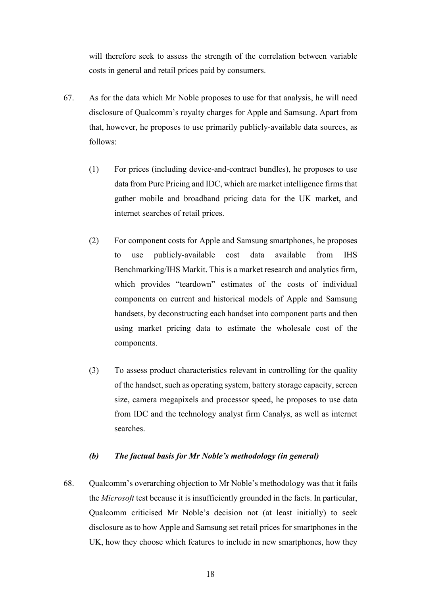will therefore seek to assess the strength of the correlation between variable costs in general and retail prices paid by consumers.

- 67. As for the data which Mr Noble proposes to use for that analysis, he will need disclosure of Qualcomm's royalty charges for Apple and Samsung. Apart from that, however, he proposes to use primarily publicly-available data sources, as follows:
	- (1) For prices (including device-and-contract bundles), he proposes to use data from Pure Pricing and IDC, which are market intelligence firms that gather mobile and broadband pricing data for the UK market, and internet searches of retail prices.
	- (2) For component costs for Apple and Samsung smartphones, he proposes to use publicly-available cost data available from IHS Benchmarking/IHS Markit. This is a market research and analytics firm, which provides "teardown" estimates of the costs of individual components on current and historical models of Apple and Samsung handsets, by deconstructing each handset into component parts and then using market pricing data to estimate the wholesale cost of the components.
	- (3) To assess product characteristics relevant in controlling for the quality of the handset, such as operating system, battery storage capacity, screen size, camera megapixels and processor speed, he proposes to use data from IDC and the technology analyst firm Canalys, as well as internet searches.

### *(b) The factual basis for Mr Noble's methodology (in general)*

68. Qualcomm's overarching objection to Mr Noble's methodology was that it fails the *Microsoft* test because it is insufficiently grounded in the facts. In particular, Qualcomm criticised Mr Noble's decision not (at least initially) to seek disclosure as to how Apple and Samsung set retail prices for smartphones in the UK, how they choose which features to include in new smartphones, how they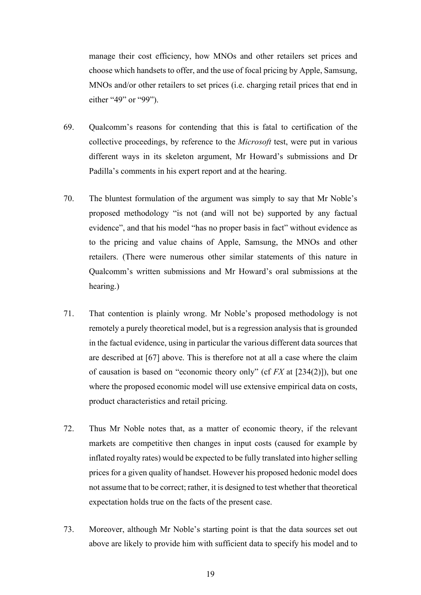manage their cost efficiency, how MNOs and other retailers set prices and choose which handsets to offer, and the use of focal pricing by Apple, Samsung, MNOs and/or other retailers to set prices (i.e. charging retail prices that end in either "49" or "99").

- 69. Qualcomm's reasons for contending that this is fatal to certification of the collective proceedings, by reference to the *Microsoft* test, were put in various different ways in its skeleton argument, Mr Howard's submissions and Dr Padilla's comments in his expert report and at the hearing.
- 70. The bluntest formulation of the argument was simply to say that Mr Noble's proposed methodology "is not (and will not be) supported by any factual evidence", and that his model "has no proper basis in fact" without evidence as to the pricing and value chains of Apple, Samsung, the MNOs and other retailers. (There were numerous other similar statements of this nature in Qualcomm's written submissions and Mr Howard's oral submissions at the hearing.)
- 71. That contention is plainly wrong. Mr Noble's proposed methodology is not remotely a purely theoretical model, but is a regression analysis that is grounded in the factual evidence, using in particular the various different data sources that are described at [67] above. This is therefore not at all a case where the claim of causation is based on "economic theory only" (cf *FX* at [234(2)]), but one where the proposed economic model will use extensive empirical data on costs, product characteristics and retail pricing.
- 72. Thus Mr Noble notes that, as a matter of economic theory, if the relevant markets are competitive then changes in input costs (caused for example by inflated royalty rates) would be expected to be fully translated into higher selling prices for a given quality of handset. However his proposed hedonic model does not assume that to be correct; rather, it is designed to test whether that theoretical expectation holds true on the facts of the present case.
- 73. Moreover, although Mr Noble's starting point is that the data sources set out above are likely to provide him with sufficient data to specify his model and to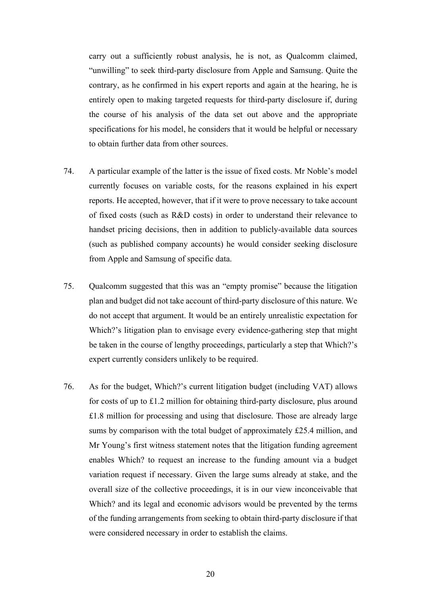carry out a sufficiently robust analysis, he is not, as Qualcomm claimed, "unwilling" to seek third-party disclosure from Apple and Samsung. Quite the contrary, as he confirmed in his expert reports and again at the hearing, he is entirely open to making targeted requests for third-party disclosure if, during the course of his analysis of the data set out above and the appropriate specifications for his model, he considers that it would be helpful or necessary to obtain further data from other sources.

- 74. A particular example of the latter is the issue of fixed costs. Mr Noble's model currently focuses on variable costs, for the reasons explained in his expert reports. He accepted, however, that if it were to prove necessary to take account of fixed costs (such as R&D costs) in order to understand their relevance to handset pricing decisions, then in addition to publicly-available data sources (such as published company accounts) he would consider seeking disclosure from Apple and Samsung of specific data.
- 75. Qualcomm suggested that this was an "empty promise" because the litigation plan and budget did not take account of third-party disclosure of this nature. We do not accept that argument. It would be an entirely unrealistic expectation for Which?'s litigation plan to envisage every evidence-gathering step that might be taken in the course of lengthy proceedings, particularly a step that Which?'s expert currently considers unlikely to be required.
- 76. As for the budget, Which?'s current litigation budget (including VAT) allows for costs of up to £1.2 million for obtaining third-party disclosure, plus around £1.8 million for processing and using that disclosure. Those are already large sums by comparison with the total budget of approximately £25.4 million, and Mr Young's first witness statement notes that the litigation funding agreement enables Which? to request an increase to the funding amount via a budget variation request if necessary. Given the large sums already at stake, and the overall size of the collective proceedings, it is in our view inconceivable that Which? and its legal and economic advisors would be prevented by the terms of the funding arrangements from seeking to obtain third-party disclosure if that were considered necessary in order to establish the claims.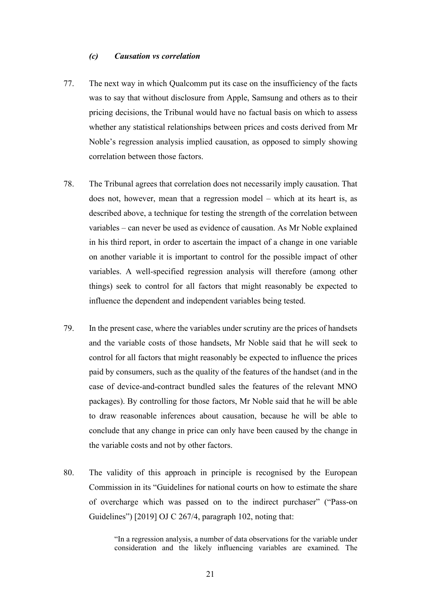#### *(c) Causation vs correlation*

- 77. The next way in which Qualcomm put its case on the insufficiency of the facts was to say that without disclosure from Apple, Samsung and others as to their pricing decisions, the Tribunal would have no factual basis on which to assess whether any statistical relationships between prices and costs derived from Mr Noble's regression analysis implied causation, as opposed to simply showing correlation between those factors.
- 78. The Tribunal agrees that correlation does not necessarily imply causation. That does not, however, mean that a regression model – which at its heart is, as described above, a technique for testing the strength of the correlation between variables – can never be used as evidence of causation. As Mr Noble explained in his third report, in order to ascertain the impact of a change in one variable on another variable it is important to control for the possible impact of other variables. A well-specified regression analysis will therefore (among other things) seek to control for all factors that might reasonably be expected to influence the dependent and independent variables being tested.
- 79. In the present case, where the variables under scrutiny are the prices of handsets and the variable costs of those handsets, Mr Noble said that he will seek to control for all factors that might reasonably be expected to influence the prices paid by consumers, such as the quality of the features of the handset (and in the case of device-and-contract bundled sales the features of the relevant MNO packages). By controlling for those factors, Mr Noble said that he will be able to draw reasonable inferences about causation, because he will be able to conclude that any change in price can only have been caused by the change in the variable costs and not by other factors.
- 80. The validity of this approach in principle is recognised by the European Commission in its "Guidelines for national courts on how to estimate the share of overcharge which was passed on to the indirect purchaser" ("Pass-on Guidelines") [2019] OJ C 267/4, paragraph 102, noting that:

"In a regression analysis, a number of data observations for the variable under consideration and the likely influencing variables are examined. The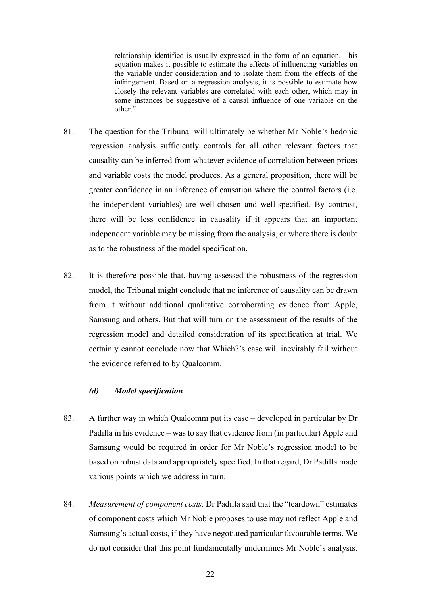relationship identified is usually expressed in the form of an equation. This equation makes it possible to estimate the effects of influencing variables on the variable under consideration and to isolate them from the effects of the infringement. Based on a regression analysis, it is possible to estimate how closely the relevant variables are correlated with each other, which may in some instances be suggestive of a causal influence of one variable on the other."

- 81. The question for the Tribunal will ultimately be whether Mr Noble's hedonic regression analysis sufficiently controls for all other relevant factors that causality can be inferred from whatever evidence of correlation between prices and variable costs the model produces. As a general proposition, there will be greater confidence in an inference of causation where the control factors (i.e. the independent variables) are well-chosen and well-specified. By contrast, there will be less confidence in causality if it appears that an important independent variable may be missing from the analysis, or where there is doubt as to the robustness of the model specification.
- 82. It is therefore possible that, having assessed the robustness of the regression model, the Tribunal might conclude that no inference of causality can be drawn from it without additional qualitative corroborating evidence from Apple, Samsung and others. But that will turn on the assessment of the results of the regression model and detailed consideration of its specification at trial. We certainly cannot conclude now that Which?'s case will inevitably fail without the evidence referred to by Qualcomm.

### *(d) Model specification*

- 83. A further way in which Qualcomm put its case developed in particular by Dr Padilla in his evidence – was to say that evidence from (in particular) Apple and Samsung would be required in order for Mr Noble's regression model to be based on robust data and appropriately specified. In that regard, Dr Padilla made various points which we address in turn.
- 84. *Measurement of component costs*. Dr Padilla said that the "teardown" estimates of component costs which Mr Noble proposes to use may not reflect Apple and Samsung's actual costs, if they have negotiated particular favourable terms. We do not consider that this point fundamentally undermines Mr Noble's analysis.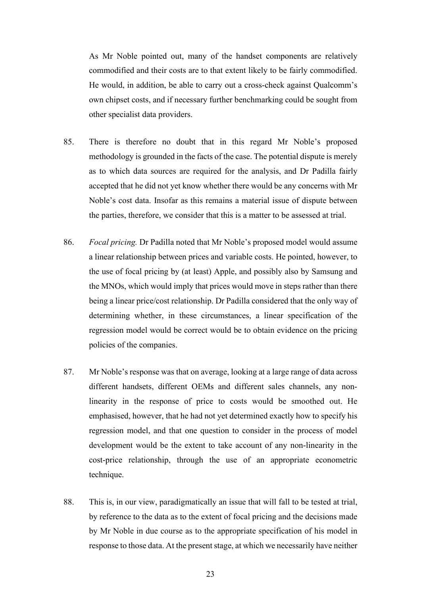As Mr Noble pointed out, many of the handset components are relatively commodified and their costs are to that extent likely to be fairly commodified. He would, in addition, be able to carry out a cross-check against Qualcomm's own chipset costs, and if necessary further benchmarking could be sought from other specialist data providers.

- 85. There is therefore no doubt that in this regard Mr Noble's proposed methodology is grounded in the facts of the case. The potential dispute is merely as to which data sources are required for the analysis, and Dr Padilla fairly accepted that he did not yet know whether there would be any concerns with Mr Noble's cost data. Insofar as this remains a material issue of dispute between the parties, therefore, we consider that this is a matter to be assessed at trial.
- 86. *Focal pricing.* Dr Padilla noted that Mr Noble's proposed model would assume a linear relationship between prices and variable costs. He pointed, however, to the use of focal pricing by (at least) Apple, and possibly also by Samsung and the MNOs, which would imply that prices would move in steps rather than there being a linear price/cost relationship. Dr Padilla considered that the only way of determining whether, in these circumstances, a linear specification of the regression model would be correct would be to obtain evidence on the pricing policies of the companies.
- 87. Mr Noble's response was that on average, looking at a large range of data across different handsets, different OEMs and different sales channels, any nonlinearity in the response of price to costs would be smoothed out. He emphasised, however, that he had not yet determined exactly how to specify his regression model, and that one question to consider in the process of model development would be the extent to take account of any non-linearity in the cost-price relationship, through the use of an appropriate econometric technique.
- 88. This is, in our view, paradigmatically an issue that will fall to be tested at trial, by reference to the data as to the extent of focal pricing and the decisions made by Mr Noble in due course as to the appropriate specification of his model in response to those data. At the present stage, at which we necessarily have neither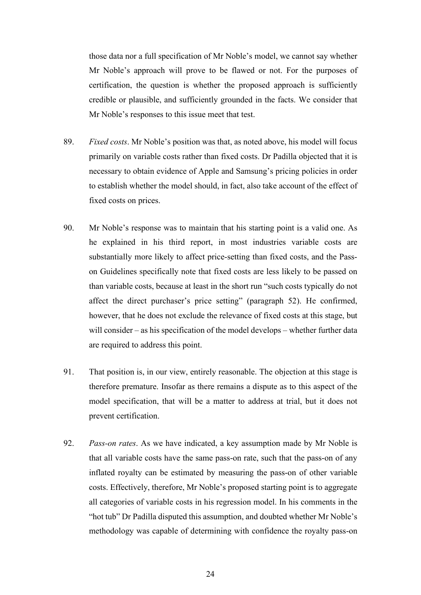those data nor a full specification of Mr Noble's model, we cannot say whether Mr Noble's approach will prove to be flawed or not. For the purposes of certification, the question is whether the proposed approach is sufficiently credible or plausible, and sufficiently grounded in the facts. We consider that Mr Noble's responses to this issue meet that test.

- 89. *Fixed costs*. Mr Noble's position was that, as noted above, his model will focus primarily on variable costs rather than fixed costs. Dr Padilla objected that it is necessary to obtain evidence of Apple and Samsung's pricing policies in order to establish whether the model should, in fact, also take account of the effect of fixed costs on prices.
- 90. Mr Noble's response was to maintain that his starting point is a valid one. As he explained in his third report, in most industries variable costs are substantially more likely to affect price-setting than fixed costs, and the Passon Guidelines specifically note that fixed costs are less likely to be passed on than variable costs, because at least in the short run "such costs typically do not affect the direct purchaser's price setting" (paragraph 52). He confirmed, however, that he does not exclude the relevance of fixed costs at this stage, but will consider – as his specification of the model develops – whether further data are required to address this point.
- 91. That position is, in our view, entirely reasonable. The objection at this stage is therefore premature. Insofar as there remains a dispute as to this aspect of the model specification, that will be a matter to address at trial, but it does not prevent certification.
- 92. *Pass-on rates*. As we have indicated, a key assumption made by Mr Noble is that all variable costs have the same pass-on rate, such that the pass-on of any inflated royalty can be estimated by measuring the pass-on of other variable costs. Effectively, therefore, Mr Noble's proposed starting point is to aggregate all categories of variable costs in his regression model. In his comments in the "hot tub" Dr Padilla disputed this assumption, and doubted whether Mr Noble's methodology was capable of determining with confidence the royalty pass-on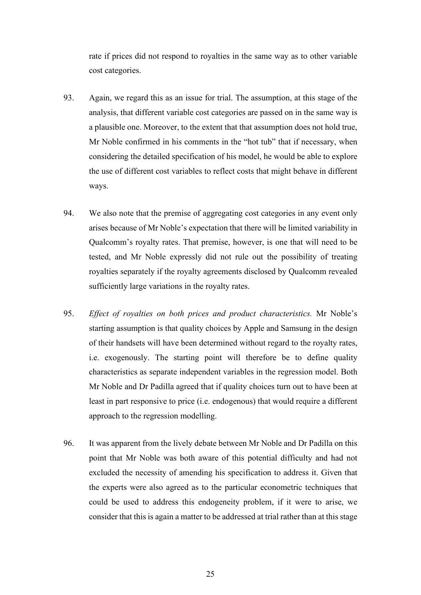rate if prices did not respond to royalties in the same way as to other variable cost categories.

- 93. Again, we regard this as an issue for trial. The assumption, at this stage of the analysis, that different variable cost categories are passed on in the same way is a plausible one. Moreover, to the extent that that assumption does not hold true, Mr Noble confirmed in his comments in the "hot tub" that if necessary, when considering the detailed specification of his model, he would be able to explore the use of different cost variables to reflect costs that might behave in different ways.
- 94. We also note that the premise of aggregating cost categories in any event only arises because of Mr Noble's expectation that there will be limited variability in Qualcomm's royalty rates. That premise, however, is one that will need to be tested, and Mr Noble expressly did not rule out the possibility of treating royalties separately if the royalty agreements disclosed by Qualcomm revealed sufficiently large variations in the royalty rates.
- 95. *Effect of royalties on both prices and product characteristics.* Mr Noble's starting assumption is that quality choices by Apple and Samsung in the design of their handsets will have been determined without regard to the royalty rates, i.e. exogenously. The starting point will therefore be to define quality characteristics as separate independent variables in the regression model. Both Mr Noble and Dr Padilla agreed that if quality choices turn out to have been at least in part responsive to price (i.e. endogenous) that would require a different approach to the regression modelling.
- 96. It was apparent from the lively debate between Mr Noble and Dr Padilla on this point that Mr Noble was both aware of this potential difficulty and had not excluded the necessity of amending his specification to address it. Given that the experts were also agreed as to the particular econometric techniques that could be used to address this endogeneity problem, if it were to arise, we consider that this is again a matter to be addressed at trial rather than at this stage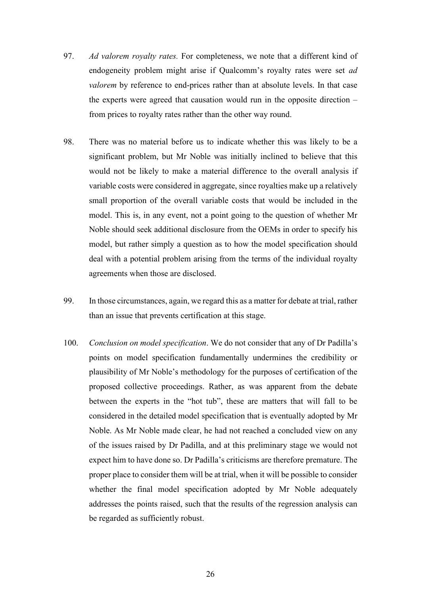- 97. *Ad valorem royalty rates.* For completeness, we note that a different kind of endogeneity problem might arise if Qualcomm's royalty rates were set *ad valorem* by reference to end-prices rather than at absolute levels. In that case the experts were agreed that causation would run in the opposite direction – from prices to royalty rates rather than the other way round.
- 98. There was no material before us to indicate whether this was likely to be a significant problem, but Mr Noble was initially inclined to believe that this would not be likely to make a material difference to the overall analysis if variable costs were considered in aggregate, since royalties make up a relatively small proportion of the overall variable costs that would be included in the model. This is, in any event, not a point going to the question of whether Mr Noble should seek additional disclosure from the OEMs in order to specify his model, but rather simply a question as to how the model specification should deal with a potential problem arising from the terms of the individual royalty agreements when those are disclosed.
- 99. In those circumstances, again, we regard this as a matter for debate at trial, rather than an issue that prevents certification at this stage.
- 100. *Conclusion on model specification*. We do not consider that any of Dr Padilla's points on model specification fundamentally undermines the credibility or plausibility of Mr Noble's methodology for the purposes of certification of the proposed collective proceedings. Rather, as was apparent from the debate between the experts in the "hot tub", these are matters that will fall to be considered in the detailed model specification that is eventually adopted by Mr Noble. As Mr Noble made clear, he had not reached a concluded view on any of the issues raised by Dr Padilla, and at this preliminary stage we would not expect him to have done so. Dr Padilla's criticisms are therefore premature. The proper place to consider them will be at trial, when it will be possible to consider whether the final model specification adopted by Mr Noble adequately addresses the points raised, such that the results of the regression analysis can be regarded as sufficiently robust.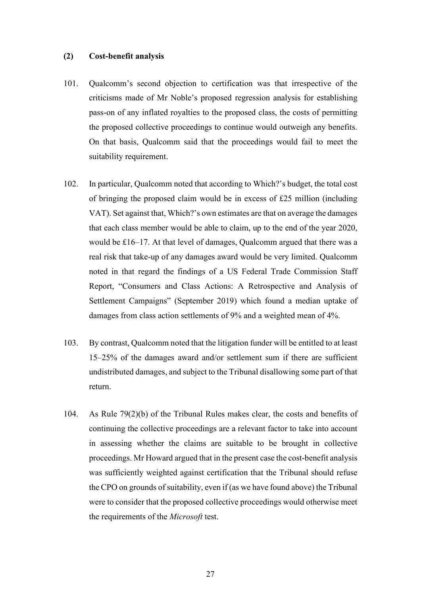#### **(2) Cost-benefit analysis**

- 101. Qualcomm's second objection to certification was that irrespective of the criticisms made of Mr Noble's proposed regression analysis for establishing pass-on of any inflated royalties to the proposed class, the costs of permitting the proposed collective proceedings to continue would outweigh any benefits. On that basis, Qualcomm said that the proceedings would fail to meet the suitability requirement.
- 102. In particular, Qualcomm noted that according to Which?'s budget, the total cost of bringing the proposed claim would be in excess of £25 million (including VAT). Set against that, Which?'s own estimates are that on average the damages that each class member would be able to claim, up to the end of the year 2020, would be £16–17. At that level of damages, Qualcomm argued that there was a real risk that take-up of any damages award would be very limited. Qualcomm noted in that regard the findings of a US Federal Trade Commission Staff Report, "Consumers and Class Actions: A Retrospective and Analysis of Settlement Campaigns" (September 2019) which found a median uptake of damages from class action settlements of 9% and a weighted mean of 4%.
- 103. By contrast, Qualcomm noted that the litigation funder will be entitled to at least 15–25% of the damages award and/or settlement sum if there are sufficient undistributed damages, and subject to the Tribunal disallowing some part of that return.
- 104. As Rule 79(2)(b) of the Tribunal Rules makes clear, the costs and benefits of continuing the collective proceedings are a relevant factor to take into account in assessing whether the claims are suitable to be brought in collective proceedings. Mr Howard argued that in the present case the cost-benefit analysis was sufficiently weighted against certification that the Tribunal should refuse the CPO on grounds of suitability, even if (as we have found above) the Tribunal were to consider that the proposed collective proceedings would otherwise meet the requirements of the *Microsoft* test.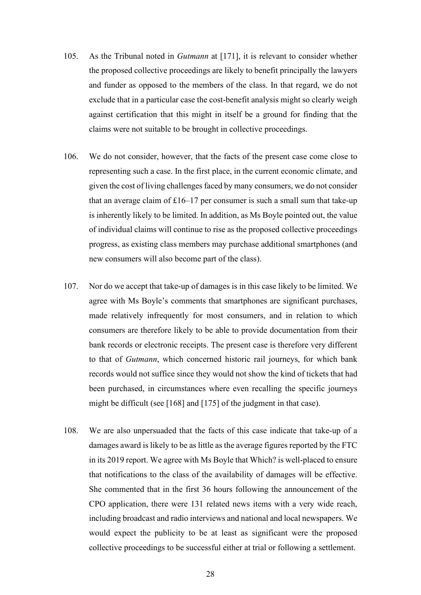- 105. As the Tribunal noted in *Gutmann* at [171], it is relevant to consider whether the proposed collective proceedings are likely to benefit principally the lawyers and funder as opposed to the members of the class. In that regard, we do not exclude that in a particular case the cost-benefit analysis might so clearly weigh against certification that this might in itself be a ground for finding that the claims were not suitable to be brought in collective proceedings.
- 106. We do not consider, however, that the facts of the present case come close to representing such a case. In the first place, in the current economic climate, and given the cost of living challenges faced by many consumers, we do not consider that an average claim of  $£16-17$  per consumer is such a small sum that take-up is inherently likely to be limited. In addition, as Ms Boyle pointed out, the value of individual claims will continue to rise as the proposed collective proceedings progress, as existing class members may purchase additional smartphones (and new consumers will also become part of the class).
- 107. Nor do we accept that take-up of damages is in this case likely to be limited. We agree with Ms Boyle's comments that smartphones are significant purchases, made relatively infrequently for most consumers, and in relation to which consumers are therefore likely to be able to provide documentation from their bank records or electronic receipts. The present case is therefore very different to that of *Gutmann*, which concerned historic rail journeys, for which bank records would not suffice since they would not show the kind of tickets that had been purchased, in circumstances where even recalling the specific journeys might be difficult (see [168] and [175] of the judgment in that case).
- 108. We are also unpersuaded that the facts of this case indicate that take-up of a damages award is likely to be as little as the average figures reported by the FTC in its 2019 report. We agree with Ms Boyle that Which? is well-placed to ensure that notifications to the class of the availability of damages will be effective. She commented that in the first 36 hours following the announcement of the CPO application, there were 131 related news items with a very wide reach, including broadcast and radio interviews and national and local newspapers. We would expect the publicity to be at least as significant were the proposed collective proceedings to be successful either at trial or following a settlement.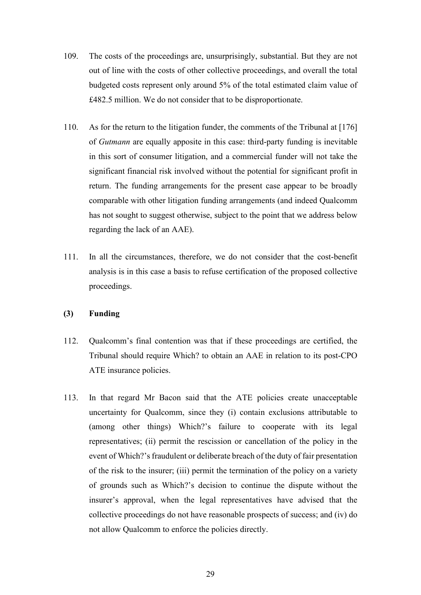- 109. The costs of the proceedings are, unsurprisingly, substantial. But they are not out of line with the costs of other collective proceedings, and overall the total budgeted costs represent only around 5% of the total estimated claim value of £482.5 million. We do not consider that to be disproportionate.
- 110. As for the return to the litigation funder, the comments of the Tribunal at [176] of *Gutmann* are equally apposite in this case: third-party funding is inevitable in this sort of consumer litigation, and a commercial funder will not take the significant financial risk involved without the potential for significant profit in return. The funding arrangements for the present case appear to be broadly comparable with other litigation funding arrangements (and indeed Qualcomm has not sought to suggest otherwise, subject to the point that we address below regarding the lack of an AAE).
- 111. In all the circumstances, therefore, we do not consider that the cost-benefit analysis is in this case a basis to refuse certification of the proposed collective proceedings.

#### **(3) Funding**

- 112. Qualcomm's final contention was that if these proceedings are certified, the Tribunal should require Which? to obtain an AAE in relation to its post-CPO ATE insurance policies.
- 113. In that regard Mr Bacon said that the ATE policies create unacceptable uncertainty for Qualcomm, since they (i) contain exclusions attributable to (among other things) Which?'s failure to cooperate with its legal representatives; (ii) permit the rescission or cancellation of the policy in the event of Which?'s fraudulent or deliberate breach of the duty of fair presentation of the risk to the insurer; (iii) permit the termination of the policy on a variety of grounds such as Which?'s decision to continue the dispute without the insurer's approval, when the legal representatives have advised that the collective proceedings do not have reasonable prospects of success; and (iv) do not allow Qualcomm to enforce the policies directly.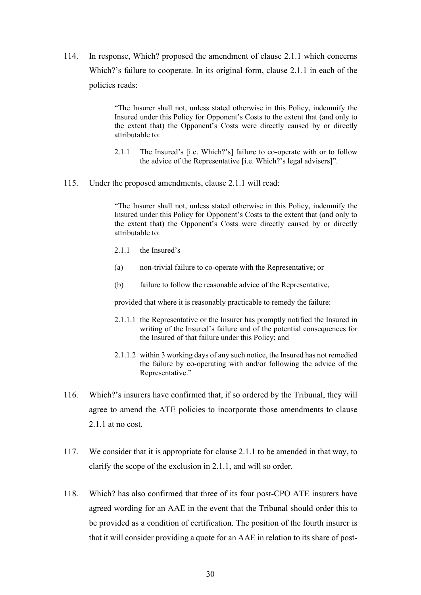114. In response, Which? proposed the amendment of clause 2.1.1 which concerns Which?'s failure to cooperate. In its original form, clause 2.1.1 in each of the policies reads:

> "The Insurer shall not, unless stated otherwise in this Policy, indemnify the Insured under this Policy for Opponent's Costs to the extent that (and only to the extent that) the Opponent's Costs were directly caused by or directly attributable to:

- 2.1.1 The Insured's [i.e. Which?'s] failure to co-operate with or to follow the advice of the Representative [i.e. Which?'s legal advisers]".
- 115. Under the proposed amendments, clause 2.1.1 will read:

"The Insurer shall not, unless stated otherwise in this Policy, indemnify the Insured under this Policy for Opponent's Costs to the extent that (and only to the extent that) the Opponent's Costs were directly caused by or directly attributable to:

- 2.1.1 the Insured's
- (a) non-trivial failure to co-operate with the Representative; or
- (b) failure to follow the reasonable advice of the Representative,

provided that where it is reasonably practicable to remedy the failure:

- 2.1.1.1 the Representative or the Insurer has promptly notified the Insured in writing of the Insured's failure and of the potential consequences for the Insured of that failure under this Policy; and
- 2.1.1.2 within 3 working days of any such notice, the Insured has not remedied the failure by co-operating with and/or following the advice of the Representative."
- 116. Which?'s insurers have confirmed that, if so ordered by the Tribunal, they will agree to amend the ATE policies to incorporate those amendments to clause 2.1.1 at no cost.
- 117. We consider that it is appropriate for clause 2.1.1 to be amended in that way, to clarify the scope of the exclusion in 2.1.1, and will so order.
- 118. Which? has also confirmed that three of its four post-CPO ATE insurers have agreed wording for an AAE in the event that the Tribunal should order this to be provided as a condition of certification. The position of the fourth insurer is that it will consider providing a quote for an AAE in relation to its share of post-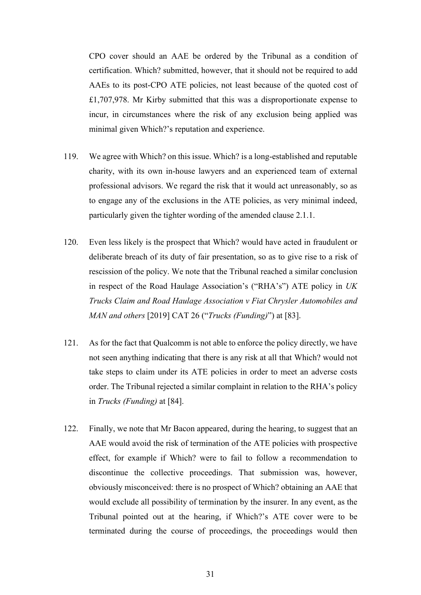CPO cover should an AAE be ordered by the Tribunal as a condition of certification. Which? submitted, however, that it should not be required to add AAEs to its post-CPO ATE policies, not least because of the quoted cost of £1,707,978. Mr Kirby submitted that this was a disproportionate expense to incur, in circumstances where the risk of any exclusion being applied was minimal given Which?'s reputation and experience.

- 119. We agree with Which? on this issue. Which? is a long-established and reputable charity, with its own in-house lawyers and an experienced team of external professional advisors. We regard the risk that it would act unreasonably, so as to engage any of the exclusions in the ATE policies, as very minimal indeed, particularly given the tighter wording of the amended clause 2.1.1.
- 120. Even less likely is the prospect that Which? would have acted in fraudulent or deliberate breach of its duty of fair presentation, so as to give rise to a risk of rescission of the policy. We note that the Tribunal reached a similar conclusion in respect of the Road Haulage Association's ("RHA's") ATE policy in *UK Trucks Claim and Road Haulage Association v Fiat Chrysler Automobiles and MAN and others* [2019] CAT 26 ("*Trucks (Funding)*") at [83].
- 121. As for the fact that Qualcomm is not able to enforce the policy directly, we have not seen anything indicating that there is any risk at all that Which? would not take steps to claim under its ATE policies in order to meet an adverse costs order. The Tribunal rejected a similar complaint in relation to the RHA's policy in *Trucks (Funding)* at [84].
- 122. Finally, we note that Mr Bacon appeared, during the hearing, to suggest that an AAE would avoid the risk of termination of the ATE policies with prospective effect, for example if Which? were to fail to follow a recommendation to discontinue the collective proceedings. That submission was, however, obviously misconceived: there is no prospect of Which? obtaining an AAE that would exclude all possibility of termination by the insurer. In any event, as the Tribunal pointed out at the hearing, if Which?'s ATE cover were to be terminated during the course of proceedings, the proceedings would then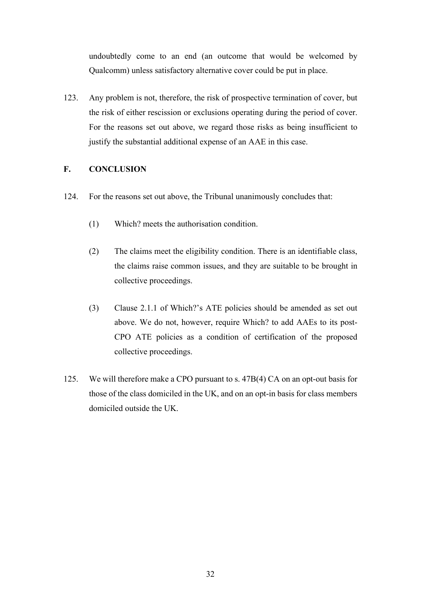undoubtedly come to an end (an outcome that would be welcomed by Qualcomm) unless satisfactory alternative cover could be put in place.

123. Any problem is not, therefore, the risk of prospective termination of cover, but the risk of either rescission or exclusions operating during the period of cover. For the reasons set out above, we regard those risks as being insufficient to justify the substantial additional expense of an AAE in this case.

## **F. CONCLUSION**

- 124. For the reasons set out above, the Tribunal unanimously concludes that:
	- (1) Which? meets the authorisation condition.
	- (2) The claims meet the eligibility condition. There is an identifiable class, the claims raise common issues, and they are suitable to be brought in collective proceedings.
	- (3) Clause 2.1.1 of Which?'s ATE policies should be amended as set out above. We do not, however, require Which? to add AAEs to its post-CPO ATE policies as a condition of certification of the proposed collective proceedings.
- 125. We will therefore make a CPO pursuant to s. 47B(4) CA on an opt-out basis for those of the class domiciled in the UK, and on an opt-in basis for class members domiciled outside the UK.